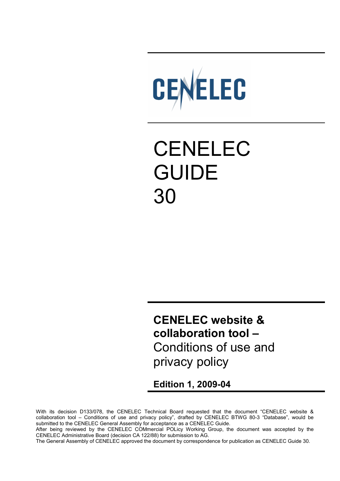

# CENELEC GUIDE 30

**CENELEC website & collaboration tool –**  Conditions of use and privacy policy

**Edition 1, 2009-04** 

With its decision D133/078, the CENELEC Technical Board requested that the document "CENELEC website & collaboration tool – Conditions of use and privacy policy", drafted by CENELEC BTWG 80-3 "Database", would be submitted to the CENELEC General Assembly for acceptance as a CENELEC Guide.

After being reviewed by the CENELEC COMmercial POLicy Working Group, the document was accepted by the CENELEC Administrative Board (decision CA 122/88) for submission to AG.

The General Assembly of CENELEC approved the document by correspondence for publication as CENELEC Guide 30.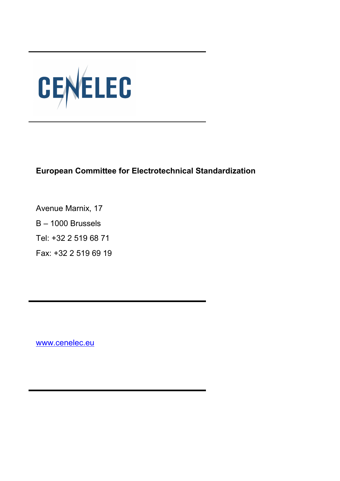

**European Committee for Electrotechnical Standardization** 

Avenue Marnix, 17 B – 1000 Brussels Tel: +32 2 519 68 71 Fax: +32 2 519 69 19

www.cenelec.eu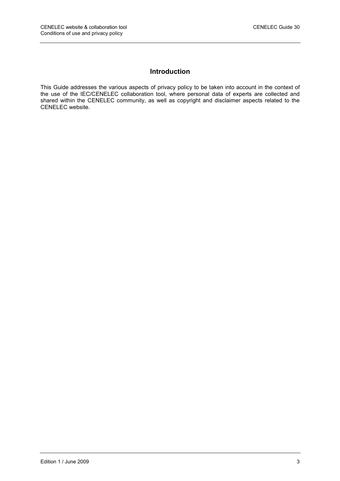## **Introduction**

This Guide addresses the various aspects of privacy policy to be taken into account in the context of the use of the IEC/CENELEC collaboration tool, where personal data of experts are collected and shared within the CENELEC community, as well as copyright and disclaimer aspects related to the CENELEC website.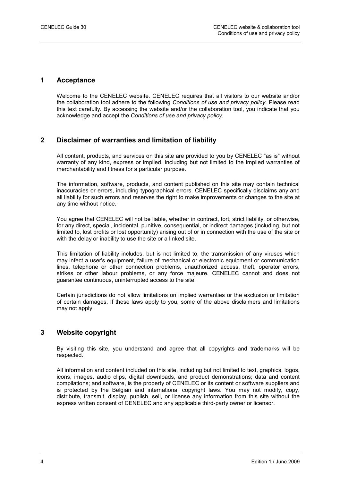#### **1 Acceptance**

Welcome to the CENELEC website. CENELEC requires that all visitors to our website and/or the collaboration tool adhere to the following *Conditions of use and privacy policy*. Please read this text carefully. By accessing the website and/or the collaboration tool, you indicate that you acknowledge and accept the *Conditions of use and privacy policy*.

## **2 Disclaimer of warranties and limitation of liability**

All content, products, and services on this site are provided to you by CENELEC "as is" without warranty of any kind, express or implied, including but not limited to the implied warranties of merchantability and fitness for a particular purpose.

The information, software, products, and content published on this site may contain technical inaccuracies or errors, including typographical errors. CENELEC specifically disclaims any and all liability for such errors and reserves the right to make improvements or changes to the site at any time without notice.

You agree that CENELEC will not be liable, whether in contract, tort, strict liability, or otherwise, for any direct, special, incidental, punitive, consequential, or indirect damages (including, but not limited to, lost profits or lost opportunity) arising out of or in connection with the use of the site or with the delay or inability to use the site or a linked site.

This limitation of liability includes, but is not limited to, the transmission of any viruses which may infect a user's equipment, failure of mechanical or electronic equipment or communication lines, telephone or other connection problems, unauthorized access, theft, operator errors, strikes or other labour problems, or any force majeure. CENELEC cannot and does not guarantee continuous, uninterrupted access to the site.

Certain jurisdictions do not allow limitations on implied warranties or the exclusion or limitation of certain damages. If these laws apply to you, some of the above disclaimers and limitations may not apply.

## **3 Website copyright**

By visiting this site, you understand and agree that all copyrights and trademarks will be respected.

All information and content included on this site, including but not limited to text, graphics, logos, icons, images, audio clips, digital downloads, and product demonstrations; data and content compilations; and software, is the property of CENELEC or its content or software suppliers and is protected by the Belgian and international copyright laws. You may not modify, copy, distribute, transmit, display, publish, sell, or license any information from this site without the express written consent of CENELEC and any applicable third-party owner or licensor.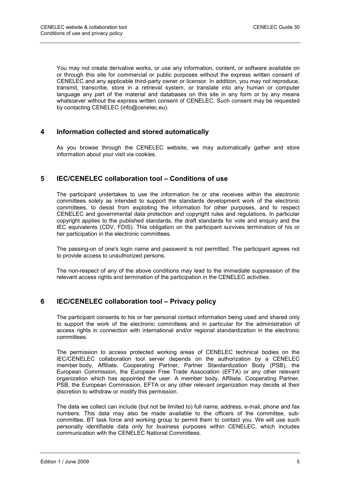You may not create derivative works, or use any information, content, or software available on or through this site for commercial or public purposes without the express written consent of CENELEC and any applicable third-party owner or licensor. In addition, you may not reproduce, transmit, transcribe, store in a retrieval system, or translate into any human or computer language any part of the material and databases on this site in any form or by any means whatsoever without the express written consent of CENELEC. Such consent may be requested by contacting CENELEC (info@cenelec.eu).

## **4 Information collected and stored automatically**

As you browse through the CENELEC website, we may automatically gather and store information about your visit via cookies.

## **5 IEC/CENELEC collaboration tool – Conditions of use**

The participant undertakes to use the information he or she receives within the electronic committees solely as intended to support the standards development work of the electronic committees, to desist from exploiting the information for other purposes, and to respect CENELEC and governmental data protection and copyright rules and regulations. In particular copyright applies to the published standards, the draft standards for vote and enquiry and the IEC equivalents (CDV, FDIS). This obligation on the participant survives termination of his or her participation in the electronic committees.

The passing-on of one's login name and password is not permitted. The participant agrees not to provide access to unauthorized persons.

The non-respect of any of the above conditions may lead to the immediate suppression of the relevant access rights and termination of the participation in the CENELEC activities.

## **6 IEC/CENELEC collaboration tool – Privacy policy**

The participant consents to his or her personal contact information being used and shared only to support the work of the electronic committees and in particular for the administration of access rights in connection with international and/or regional standardization in the electronic committees.

The permission to access protected working areas of CENELEC technical bodies on the IEC/CENELEC collaboration tool server depends on the authorization by a CENELEC member body, Affiliate, Cooperating Partner, Partner Standardization Body (PSB), the European Commission, the European Free Trade Association (EFTA) or any other relevant organization which has appointed the user. A member body, Affiliate, Cooperating Partner, PSB, the European Commission, EFTA or any other relevant organization may decide at their discretion to withdraw or modify this permission.

The data we collect can include (but not be limited to) full name, address, e-mail, phone and fax numbers. This data may also be made available to the officers of the committee, subcommittee, BT task force and working group to permit them to contact you. We will use such personally identifiable data only for business purposes within CENELEC, which includes communication with the CENELEC National Committees.